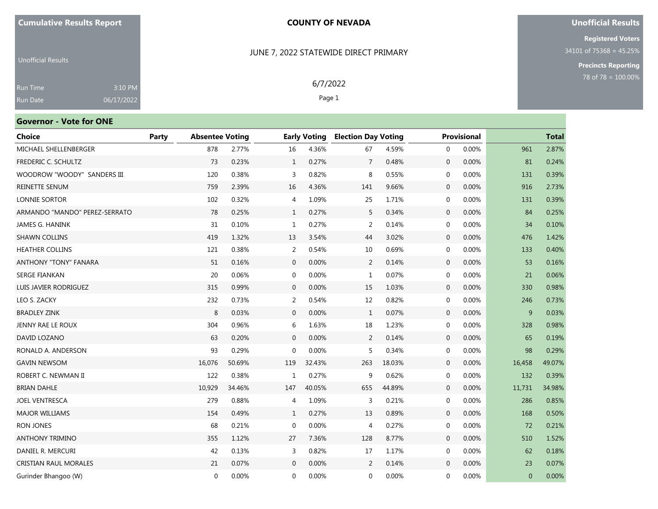#### JUNE 7, 2022 STATEWIDE DIRECT PRIMARY

6/7/2022 Page 1

### **Unofficial Results**

**Registered Voters** 34101 of 75368 = 45.25%

**Precincts Reporting**

Unofficial Results Run Date 3:10 PM 06/17/2022

# **Governor - Vote for ONE**

| <b>Choice</b>                 | <b>Party</b> | <b>Absentee Voting</b> |        |                | <b>Early Voting</b> | <b>Election Day Voting</b> |        |                  | <b>Provisional</b> |          | <b>Total</b> |
|-------------------------------|--------------|------------------------|--------|----------------|---------------------|----------------------------|--------|------------------|--------------------|----------|--------------|
| MICHAEL SHELLENBERGER         |              | 878                    | 2.77%  | 16             | 4.36%               | 67                         | 4.59%  | $\mathbf{0}$     | 0.00%              | 961      | 2.87%        |
| <b>FREDERIC C. SCHULTZ</b>    |              | 73                     | 0.23%  | $\mathbf{1}$   | 0.27%               | $\overline{7}$             | 0.48%  | $\mathbf{0}$     | 0.00%              | 81       | 0.24%        |
| WOODROW "WOODY" SANDERS III   |              | 120                    | 0.38%  | $\overline{3}$ | 0.82%               | 8                          | 0.55%  | $\mathbf 0$      | 0.00%              | 131      | 0.39%        |
| REINETTE SENUM                |              | 759                    | 2.39%  | 16             | 4.36%               | 141                        | 9.66%  | $\mathbf 0$      | 0.00%              | 916      | 2.73%        |
| LONNIE SORTOR                 |              | 102                    | 0.32%  | 4              | 1.09%               | 25                         | 1.71%  | $\mathbf 0$      | 0.00%              | 131      | 0.39%        |
| ARMANDO "MANDO" PEREZ-SERRATO |              | 78                     | 0.25%  | $\mathbf{1}$   | 0.27%               | 5                          | 0.34%  | $\mathbf 0$      | 0.00%              | 84       | 0.25%        |
| JAMES G. HANINK               |              | 31                     | 0.10%  | 1              | 0.27%               | 2                          | 0.14%  | $\mathbf 0$      | 0.00%              | 34       | 0.10%        |
| <b>SHAWN COLLINS</b>          |              | 419                    | 1.32%  | 13             | 3.54%               | 44                         | 3.02%  | $\mathbf{0}$     | 0.00%              | 476      | 1.42%        |
| <b>HEATHER COLLINS</b>        |              | 121                    | 0.38%  | 2              | 0.54%               | 10                         | 0.69%  | $\mathbf 0$      | 0.00%              | 133      | 0.40%        |
| <b>ANTHONY "TONY" FANARA</b>  |              | 51                     | 0.16%  | $\mathbf{0}$   | 0.00%               | $\overline{2}$             | 0.14%  | $\mathbf 0$      | 0.00%              | 53       | 0.16%        |
| <b>SERGE FIANKAN</b>          |              | 20                     | 0.06%  | 0              | 0.00%               | 1                          | 0.07%  | $\mathbf 0$      | 0.00%              | 21       | 0.06%        |
| LUIS JAVIER RODRIGUEZ         |              | 315                    | 0.99%  | $\mathbf{0}$   | 0.00%               | 15                         | 1.03%  | $\mathbf 0$      | 0.00%              | 330      | 0.98%        |
| LEO S. ZACKY                  |              | 232                    | 0.73%  | 2              | 0.54%               | 12                         | 0.82%  | $\mathbf 0$      | 0.00%              | 246      | 0.73%        |
| <b>BRADLEY ZINK</b>           |              | 8                      | 0.03%  | $\mathbf{0}$   | 0.00%               | $\mathbf{1}$               | 0.07%  | $\mathbf 0$      | 0.00%              | 9        | 0.03%        |
| JENNY RAE LE ROUX             |              | 304                    | 0.96%  | 6              | 1.63%               | 18                         | 1.23%  | $\mathbf 0$      | 0.00%              | 328      | 0.98%        |
| DAVID LOZANO                  |              | 63                     | 0.20%  | $\mathbf{0}$   | 0.00%               | $\overline{2}$             | 0.14%  | $\mathbf 0$      | 0.00%              | 65       | 0.19%        |
| RONALD A. ANDERSON            |              | 93                     | 0.29%  | $\mathbf 0$    | 0.00%               | 5                          | 0.34%  | $\boldsymbol{0}$ | 0.00%              | 98       | 0.29%        |
| <b>GAVIN NEWSOM</b>           |              | 16,076                 | 50.69% | 119            | 32.43%              | 263                        | 18.03% | $\mathbf 0$      | 0.00%              | 16,458   | 49.07%       |
| ROBERT C. NEWMAN II           |              | 122                    | 0.38%  | 1              | 0.27%               | 9                          | 0.62%  | $\mathbf{0}$     | 0.00%              | 132      | 0.39%        |
| <b>BRIAN DAHLE</b>            |              | 10,929                 | 34.46% | 147            | 40.05%              | 655                        | 44.89% | $\mathbf 0$      | 0.00%              | 11,731   | 34.98%       |
| JOEL VENTRESCA                |              | 279                    | 0.88%  | 4              | 1.09%               | 3                          | 0.21%  | $\mathbf 0$      | 0.00%              | 286      | 0.85%        |
| <b>MAJOR WILLIAMS</b>         |              | 154                    | 0.49%  | $\mathbf{1}$   | 0.27%               | 13                         | 0.89%  | $\mathbf 0$      | 0.00%              | 168      | 0.50%        |
| <b>RON JONES</b>              |              | 68                     | 0.21%  | $\mathbf 0$    | 0.00%               | 4                          | 0.27%  | $\boldsymbol{0}$ | 0.00%              | 72       | 0.21%        |
| <b>ANTHONY TRIMINO</b>        |              | 355                    | 1.12%  | 27             | 7.36%               | 128                        | 8.77%  | $\mathbf{0}$     | 0.00%              | 510      | 1.52%        |
| DANIEL R. MERCURI             |              | 42                     | 0.13%  | 3              | 0.82%               | 17                         | 1.17%  | $\mathbf{0}$     | 0.00%              | 62       | 0.18%        |
| <b>CRISTIAN RAUL MORALES</b>  |              | 21                     | 0.07%  | $\mathbf{0}$   | 0.00%               | 2                          | 0.14%  | $\mathbf 0$      | 0.00%              | 23       | 0.07%        |
| Gurinder Bhangoo (W)          |              | $\mathbf{0}$           | 0.00%  | $\Omega$       | 0.00%               | $\mathbf{0}$               | 0.00%  | 0                | 0.00%              | $\Omega$ | 0.00%        |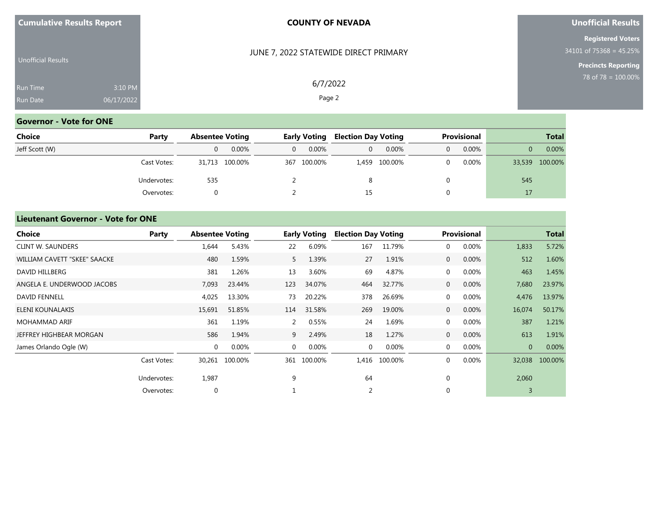| <b>Cumulative Results Report</b> |  |  |
|----------------------------------|--|--|
|----------------------------------|--|--|

### **Unofficial Results**

**Registered Voters** 34101 of 75368 = 45.25%

**Precincts Reporting**

| <b>Unofficial Results</b> |            |
|---------------------------|------------|
| <b>Run Time</b>           | 3:10 PM    |
| <b>Run Date</b>           | 06/17/2022 |

# JUNE 7, 2022 STATEWIDE DIRECT PRIMARY

6/7/2022 Page 2

| <b>Governor - Vote for ONE</b> |             |                        |          |          |              |                            |               |   |                    |              |                |
|--------------------------------|-------------|------------------------|----------|----------|--------------|----------------------------|---------------|---|--------------------|--------------|----------------|
| Choice                         | Party       | <b>Absentee Voting</b> |          |          | Early Voting | <b>Election Day Voting</b> |               |   | <b>Provisional</b> |              | <b>Total</b>   |
| Jeff Scott (W)                 |             | 0                      | $0.00\%$ | $\Omega$ | $0.00\%$     | $\mathbf{0}$               | $0.00\%$      | 0 | 0.00%              | $\mathbf{0}$ | 0.00%          |
|                                | Cast Votes: | 31,713                 | 100.00%  | 367      | 100.00%      |                            | 1,459 100.00% | 0 | $0.00\%$           |              | 33,539 100.00% |
|                                | Undervotes: | 535                    |          |          |              | 8                          |               | 0 |                    | 545          |                |
|                                | Overvotes:  |                        |          |          |              | 15                         |               | 0 |                    | 17           |                |

### **Lieutenant Governor - Vote for ONE**

| <b>Choice</b>                | Party       | <b>Absentee Voting</b> |         |              | <b>Early Voting</b> | <b>Election Day Voting</b> |         |                | <b>Provisional</b> |                | <b>Total</b> |
|------------------------------|-------------|------------------------|---------|--------------|---------------------|----------------------------|---------|----------------|--------------------|----------------|--------------|
| <b>CLINT W. SAUNDERS</b>     |             | 1.644                  | 5.43%   | 22           | 6.09%               | 167                        | 11.79%  | 0              | 0.00%              | 1,833          | 5.72%        |
| WILLIAM CAVETT "SKEE" SAACKE |             | 480                    | 1.59%   | $5 -$        | 1.39%               | 27                         | 1.91%   | $\overline{0}$ | 0.00%              | 512            | 1.60%        |
| DAVID HILLBERG               |             | 381                    | 1.26%   | 13           | 3.60%               | 69                         | 4.87%   | 0              | 0.00%              | 463            | 1.45%        |
| ANGELA E. UNDERWOOD JACOBS   |             | 7,093                  | 23.44%  | 123          | 34.07%              | 464                        | 32.77%  | $\overline{0}$ | 0.00%              | 7,680          | 23.97%       |
| <b>DAVID FENNELL</b>         |             | 4,025                  | 13.30%  | 73           | 20.22%              | 378                        | 26.69%  | 0              | 0.00%              | 4,476          | 13.97%       |
| ELENI KOUNALAKIS             |             | 15,691                 | 51.85%  | 114          | 31.58%              | 269                        | 19.00%  | $\overline{0}$ | 0.00%              | 16,074         | 50.17%       |
| MOHAMMAD ARIF                |             | 361                    | 1.19%   | 2            | 0.55%               | 24                         | 1.69%   | 0              | 0.00%              | 387            | 1.21%        |
| JEFFREY HIGHBEAR MORGAN      |             | 586                    | 1.94%   | 9            | 2.49%               | 18                         | 1.27%   | $\mathbf{0}$   | 0.00%              | 613            | 1.91%        |
| James Orlando Ogle (W)       |             | $\mathbf 0$            | 0.00%   | $\mathbf{0}$ | 0.00%               | 0                          | 0.00%   | $\mathbf{0}$   | 0.00%              | $\overline{0}$ | 0.00%        |
|                              | Cast Votes: | 30,261                 | 100.00% | 361          | 100.00%             | 1,416                      | 100.00% | 0              | 0.00%              | 32,038         | 100.00%      |
|                              | Undervotes: | 1,987                  |         | 9            |                     | 64                         |         | 0              |                    | 2,060          |              |
|                              | Overvotes:  | $\mathbf{0}$           |         |              |                     | ำ                          |         | 0              |                    |                |              |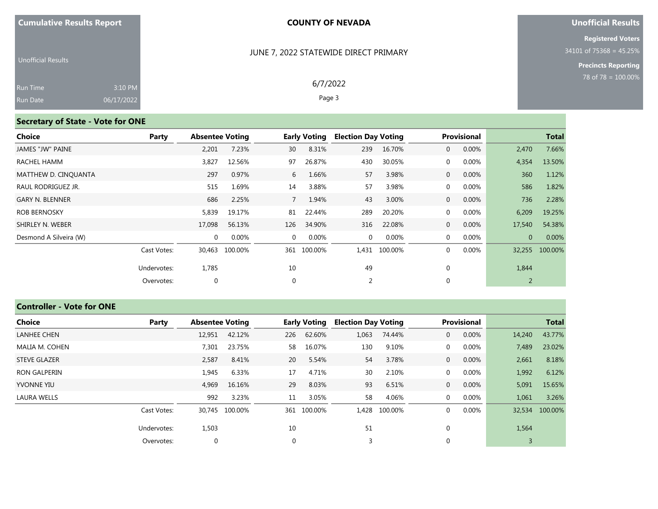#### JUNE 7, 2022 STATEWIDE DIRECT PRIMARY

6/7/2022 Page 3

### **Unofficial Results**

**Registered Voters** 34101 of 75368 = 45.25%

> **Precincts Reporting** 78 of 78 = 100.00%

| <b>Unofficial Results</b> |            |  |
|---------------------------|------------|--|
| <b>Run Time</b>           | 3:10 PM    |  |
| <b>Run Date</b>           | 06/17/2022 |  |

# **Secretary of State - Vote for ONE**

| <b>Choice</b>          | Party       | <b>Absentee Voting</b> |         |             | <b>Early Voting</b> | <b>Election Day Voting</b> |               |                | <b>Provisional</b> |          | <b>Total</b> |
|------------------------|-------------|------------------------|---------|-------------|---------------------|----------------------------|---------------|----------------|--------------------|----------|--------------|
| JAMES "JW" PAINE       |             | 2,201                  | 7.23%   | 30          | 8.31%               | 239                        | 16.70%        | $\overline{0}$ | 0.00%              | 2,470    | 7.66%        |
| RACHEL HAMM            |             | 3,827                  | 12.56%  | 97          | 26.87%              | 430                        | 30.05%        | $\overline{0}$ | $0.00\%$           | 4,354    | 13.50%       |
| MATTHEW D. CINOUANTA   |             | 297                    | 0.97%   | 6           | 1.66%               | 57                         | 3.98%         | $\overline{0}$ | $0.00\%$           | 360      | 1.12%        |
| RAUL RODRIGUEZ JR.     |             | 515                    | 1.69%   | 14          | 3.88%               | 57                         | 3.98%         | $\overline{0}$ | $0.00\%$           | 586      | 1.82%        |
| <b>GARY N. BLENNER</b> |             | 686                    | 2.25%   | $7^{\circ}$ | 1.94%               | 43                         | 3.00%         | $\overline{0}$ | $0.00\%$           | 736      | 2.28%        |
| <b>ROB BERNOSKY</b>    |             | 5,839                  | 19.17%  | 81          | 22.44%              | 289                        | 20.20%        | $\overline{0}$ | 0.00%              | 6,209    | 19.25%       |
| SHIRLEY N. WEBER       |             | 17,098                 | 56.13%  | 126         | 34.90%              | 316                        | 22.08%        | $\overline{0}$ | $0.00\%$           | 17,540   | 54.38%       |
| Desmond A Silveira (W) |             | 0                      | 0.00%   | $\Omega$    | 0.00%               | $\mathbf{0}$               | 0.00%         | $\overline{0}$ | 0.00%              | $\Omega$ | 0.00%        |
|                        | Cast Votes: | 30,463                 | 100.00% |             | 361 100.00%         |                            | 1,431 100.00% | $\overline{0}$ | 0.00%              | 32,255   | 100.00%      |
|                        | Undervotes: | 1,785                  |         | 10          |                     | 49                         |               | $\mathbf 0$    |                    | 1,844    |              |
|                        | Overvotes:  | $\mathbf{0}$           |         | $\mathbf 0$ |                     | 2                          |               | $\mathbf 0$    |                    | 2        |              |

# **Controller - Vote for ONE**

| <b>Choice</b>       | Party       | <b>Absentee Voting</b> |         |             | <b>Early Voting</b> | <b>Election Day Voting</b> |         |                | <b>Provisional</b> |        | <b>Total</b>   |
|---------------------|-------------|------------------------|---------|-------------|---------------------|----------------------------|---------|----------------|--------------------|--------|----------------|
| <b>LANHEE CHEN</b>  |             | 12,951                 | 42.12%  | 226         | 62.60%              | 1,063                      | 74.44%  | $\overline{0}$ | 0.00%              | 14,240 | 43.77%         |
| MALIA M. COHEN      |             | 7,301                  | 23.75%  | 58          | 16.07%              | 130                        | 9.10%   | $\mathbf 0$    | 0.00%              | 7,489  | 23.02%         |
| <b>STEVE GLAZER</b> |             | 2,587                  | 8.41%   | 20          | 5.54%               | 54                         | 3.78%   | $\overline{0}$ | 0.00%              | 2,661  | 8.18%          |
| <b>RON GALPERIN</b> |             | 1,945                  | 6.33%   | 17          | 4.71%               | 30                         | 2.10%   | $\mathbf 0$    | 0.00%              | 1,992  | 6.12%          |
| <b>YVONNE YIU</b>   |             | 4,969                  | 16.16%  | 29          | 8.03%               | 93                         | 6.51%   | $\overline{0}$ | 0.00%              | 5,091  | 15.65%         |
| <b>LAURA WELLS</b>  |             | 992                    | 3.23%   | 11          | 3.05%               | 58                         | 4.06%   | $\mathbf 0$    | 0.00%              | 1,061  | 3.26%          |
|                     | Cast Votes: | 30,745                 | 100.00% |             | 361 100.00%         | 1,428                      | 100.00% | $\Omega$       | 0.00%              |        | 32,534 100.00% |
|                     | Undervotes: | 1,503                  |         | 10          |                     | 51                         |         | $\Omega$       |                    | 1,564  |                |
|                     | Overvotes:  | $\mathbf 0$            |         | $\mathbf 0$ |                     | 3                          |         |                |                    | 3      |                |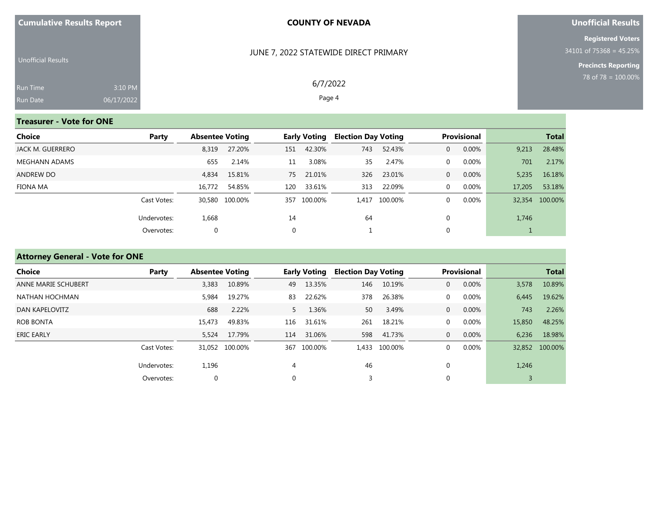#### JUNE 7, 2022 STATEWIDE DIRECT PRIMARY

6/7/2022 Page 4

### **Unofficial Results**

**Registered Voters** 34101 of 75368 = 45.25%

**Precincts Reporting**

| <b>Unofficial Results</b> |            |
|---------------------------|------------|
|                           |            |
| <b>Run Time</b>           | $3:10$ PM  |
| <b>Run Date</b>           | 06/17/2022 |

# **Treasurer - Vote for ONE**

| Choice           | Party       | <b>Absentee Voting</b> |                |     | <b>Early Voting</b> | <b>Election Day Voting</b> |               |              | <b>Provisional</b> |        | <b>Total</b>   |
|------------------|-------------|------------------------|----------------|-----|---------------------|----------------------------|---------------|--------------|--------------------|--------|----------------|
| JACK M. GUERRERO |             | 8,319                  | 27.20%         | 151 | 42.30%              | 743                        | 52.43%        | $\mathbf{0}$ | 0.00%              | 9,213  | 28.48%         |
| MEGHANN ADAMS    |             | 655                    | 2.14%          | 11  | 3.08%               | 35                         | 2.47%         | $\Omega$     | $0.00\%$           | 701    | 2.17%          |
| ANDREW DO        |             | 4,834                  | 15.81%         | 75  | 21.01%              | 326                        | 23.01%        | $\mathbf{0}$ | 0.00%              | 5.235  | 16.18%         |
| FIONA MA         |             | 16.772                 | 54.85%         | 120 | 33.61%              | 313                        | 22.09%        | $\Omega$     | $0.00\%$           | 17,205 | 53.18%         |
|                  | Cast Votes: |                        | 30,580 100.00% | 357 | 100.00%             |                            | 1,417 100.00% | $\Omega$     | 0.00%              |        | 32,354 100.00% |
|                  | Undervotes: | 1,668                  |                | 14  |                     | 64                         |               |              |                    | 1,746  |                |
|                  | Overvotes:  | 0                      |                | 0   |                     |                            |               |              |                    |        |                |

# **Attorney General - Vote for ONE**

| Choice              | Party       | <b>Absentee Voting</b> |                |                | <b>Early Voting</b> | <b>Election Day Voting</b> |               |                | Provisional |        | <b>Total</b>   |
|---------------------|-------------|------------------------|----------------|----------------|---------------------|----------------------------|---------------|----------------|-------------|--------|----------------|
| ANNE MARIE SCHUBERT |             | 3,383                  | 10.89%         | 49             | 13.35%              | 146                        | 10.19%        | $\mathbf{0}$   | 0.00%       | 3,578  | 10.89%         |
| NATHAN HOCHMAN      |             | 5,984                  | 19.27%         | 83             | 22.62%              | 378                        | 26.38%        | $\mathbf 0$    | 0.00%       | 6,445  | 19.62%         |
| DAN KAPELOVITZ      |             | 688                    | 2.22%          | 5 <sup>7</sup> | 1.36%               | 50                         | 3.49%         | $\mathbf{0}$   | 0.00%       | 743    | 2.26%          |
| <b>ROB BONTA</b>    |             | 15,473                 | 49.83%         | 116            | 31.61%              | 261                        | 18.21%        | 0              | 0.00%       | 15,850 | 48.25%         |
| <b>ERIC EARLY</b>   |             | 5,524                  | 17.79%         | 114            | 31.06%              | 598                        | 41.73%        | $\overline{0}$ | 0.00%       | 6,236  | 18.98%         |
|                     | Cast Votes: |                        | 31.052 100.00% | 367            | 100.00%             |                            | 1,433 100.00% | $\mathbf{0}$   | 0.00%       |        | 32,852 100.00% |
|                     | Undervotes: | 1,196                  |                | 4              |                     | 46                         |               | $\mathbf{0}$   |             | 1,246  |                |
|                     | Overvotes:  |                        |                | $\Omega$       |                     |                            |               | 0              |             | 3      |                |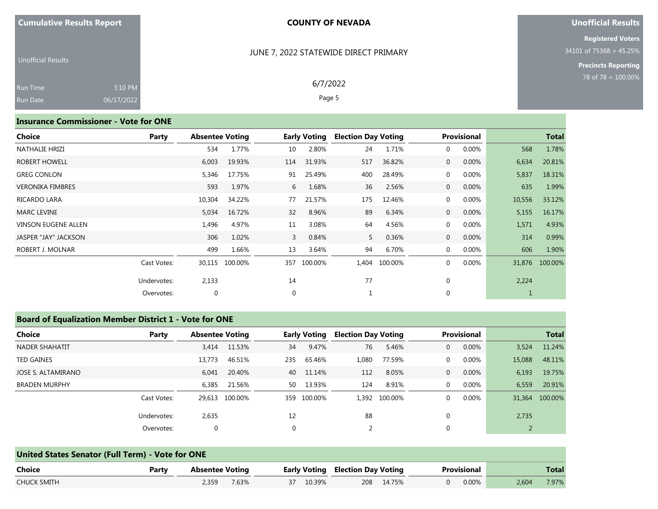#### JUNE 7, 2022 STATEWIDE DIRECT PRIMARY

### **Unofficial Results**

**Registered Voters** 34101 of 75368 = 45.25%

> **Precincts Reporting** 78 of 78 = 100.00%

| <b>Unofficial Results</b> |            |  |
|---------------------------|------------|--|
| <b>Run Time</b>           | 3:10 PM    |  |
| <b>Run Date</b>           | 06/17/2022 |  |

# 6/7/2022

Page 5

#### **Insurance Commissioner - Vote for ONE**

| <b>Choice</b>              | <b>Party</b> | <b>Absentee Voting</b> |         |             | <b>Early Voting</b> | <b>Election Day Voting</b> |         |                | Provisional |             | <b>Total</b> |
|----------------------------|--------------|------------------------|---------|-------------|---------------------|----------------------------|---------|----------------|-------------|-------------|--------------|
| <b>NATHALIE HRIZI</b>      |              | 534                    | 1.77%   | 10          | 2.80%               | 24                         | 1.71%   | 0              | 0.00%       | 568         | 1.78%        |
| <b>ROBERT HOWELL</b>       |              | 6,003                  | 19.93%  | 114         | 31.93%              | 517                        | 36.82%  | $\mathbf{0}$   | 0.00%       | 6,634       | 20.81%       |
| <b>GREG CONLON</b>         |              | 5,346                  | 17.75%  | 91          | 25.49%              | 400                        | 28.49%  | $\mathbf 0$    | 0.00%       | 5,837       | 18.31%       |
| <b>VERONIKA FIMBRES</b>    |              | 593                    | 1.97%   | 6           | 1.68%               | 36                         | 2.56%   | $\mathbf{0}$   | 0.00%       | 635         | 1.99%        |
| <b>RICARDO LARA</b>        |              | 10,304                 | 34.22%  | 77          | 21.57%              | 175                        | 12.46%  | $\mathbf 0$    | $0.00\%$    | 10,556      | 33.12%       |
| <b>MARC LEVINE</b>         |              | 5,034                  | 16.72%  | 32          | 8.96%               | 89                         | 6.34%   | $\overline{0}$ | $0.00\%$    | 5,155       | 16.17%       |
| <b>VINSON EUGENE ALLEN</b> |              | 1,496                  | 4.97%   | 11          | 3.08%               | 64                         | 4.56%   | $\mathbf 0$    | 0.00%       | 1,571       | 4.93%        |
| JASPER "JAY" JACKSON       |              | 306                    | 1.02%   | 3           | 0.84%               | 5                          | 0.36%   | $\mathbf{0}$   | 0.00%       | 314         | 0.99%        |
| ROBERT J. MOLNAR           |              | 499                    | 1.66%   | 13          | 3.64%               | 94                         | 6.70%   | $\mathbf{0}$   | 0.00%       | 606         | 1.90%        |
|                            | Cast Votes:  | 30,115                 | 100.00% | 357         | 100.00%             | 1,404                      | 100.00% | $\mathbf 0$    | 0.00%       | 31,876      | 100.00%      |
|                            | Undervotes:  | 2,133                  |         | 14          |                     | 77                         |         | 0              |             | 2,224       |              |
|                            | Overvotes:   | 0                      |         | $\mathbf 0$ |                     |                            |         | 0              |             | $\mathbf 1$ |              |

## **Board of Equalization Member District 1 - Vote for ONE**

| <b>Choice</b>        | Party       | <b>Absentee Voting</b> |         |     | <b>Early Voting</b> | <b>Election Day Voting</b> |               |              | <b>Provisional</b> |        | <b>Total</b>   |
|----------------------|-------------|------------------------|---------|-----|---------------------|----------------------------|---------------|--------------|--------------------|--------|----------------|
| NADER SHAHATIT       |             | 3.414                  | 11.53%  | 34  | 9.47%               | 76                         | 5.46%         | $\Omega$     | 0.00%              | 3,524  | 11.24%         |
| <b>TED GAINES</b>    |             | 13,773                 | 46.51%  | 235 | 65.46%              | 1,080                      | 77.59%        | $\Omega$     | 0.00%              | 15,088 | 48.11%         |
| JOSE S. ALTAMIRANO   |             | 6,041                  | 20.40%  | 40  | 11.14%              | 112                        | 8.05%         | $\Omega$     | 0.00%              | 6,193  | 19.75%         |
| <b>BRADEN MURPHY</b> |             | 6,385                  | 21.56%  | 50  | 13.93%              | 124                        | 8.91%         | $\mathbf{0}$ | $0.00\%$           | 6,559  | 20.91%         |
|                      | Cast Votes: | 29,613                 | 100.00% |     | 359 100.00%         |                            | 1,392 100.00% | $\Omega$     | 0.00%              |        | 31,364 100.00% |
|                      | Undervotes: | 2,635                  |         | 12  |                     | 88                         |               | $\Omega$     |                    | 2,735  |                |
|                      | Overvotes:  | $\mathbf 0$            |         |     |                     | 2                          |               | 0            |                    |        |                |

| United States Senator (Full Term) - Vote for ONE |       |                        |       |                                         |           |  |            |             |       |       |       |
|--------------------------------------------------|-------|------------------------|-------|-----------------------------------------|-----------|--|------------|-------------|-------|-------|-------|
| Choice                                           | Party | <b>Absentee Voting</b> |       | <b>Early Voting Election Day Voting</b> |           |  |            | Provisional |       | Total |       |
| <b>CHUCK SMITH</b>                               |       | 2.359                  | 7.63% |                                         | 37 10.39% |  | 208 14.75% |             | 0.00% | 2.604 | 7.97% |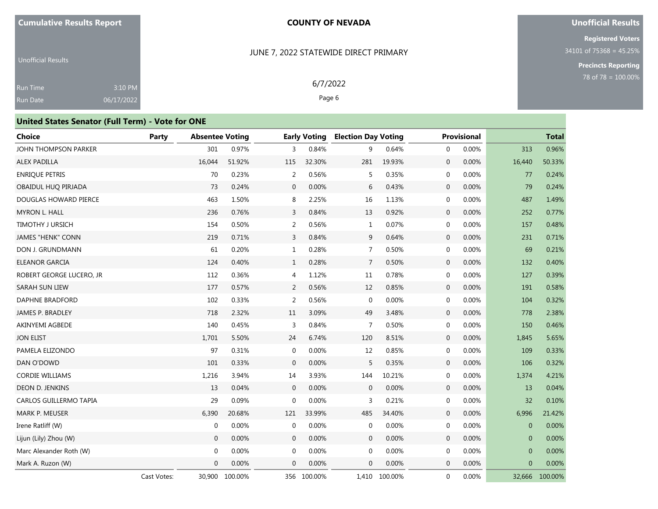#### **Unofficial Results**

**Registered Voters** 34101 of 75368 = 45.25%

> **Precincts Reporting** 78 of 78 = 100.00%

Unofficial Results Run Time Run Date 3:10 PM 06/17/2022

## JUNE 7, 2022 STATEWIDE DIRECT PRIMARY

6/7/2022 Page 6

| <b>United States Senator (Full Term) - Vote for ONE</b> |             |                        |         |                |                     |                            |         |                         |                |              |  |
|---------------------------------------------------------|-------------|------------------------|---------|----------------|---------------------|----------------------------|---------|-------------------------|----------------|--------------|--|
| Choice                                                  | Party       | <b>Absentee Voting</b> |         |                | <b>Early Voting</b> | <b>Election Day Voting</b> |         | <b>Provisional</b>      |                | <b>Total</b> |  |
| JOHN THOMPSON PARKER                                    |             | 301                    | 0.97%   | 3              | 0.84%               | 9                          | 0.64%   | 0.00%<br>$\mathbf 0$    | 313            | 0.96%        |  |
| ALEX PADILLA                                            |             | 16,044                 | 51.92%  | 115            | 32.30%              | 281                        | 19.93%  | $\overline{0}$<br>0.00% | 16,440         | 50.33%       |  |
| <b>ENRIQUE PETRIS</b>                                   |             | 70                     | 0.23%   | 2              | 0.56%               | 5                          | 0.35%   | 0.00%<br>$\mathbf 0$    | 77             | 0.24%        |  |
| OBAIDUL HUO PIRJADA                                     |             | 73                     | 0.24%   | $\mathbf{0}$   | 0.00%               | 6                          | 0.43%   | $\mathbf 0$<br>0.00%    | 79             | 0.24%        |  |
| DOUGLAS HOWARD PIERCE                                   |             | 463                    | 1.50%   | 8              | 2.25%               | 16                         | 1.13%   | 0.00%<br>$\mathbf{0}$   | 487            | 1.49%        |  |
| <b>MYRON L. HALL</b>                                    |             | 236                    | 0.76%   | 3              | 0.84%               | 13                         | 0.92%   | $\mathbf 0$<br>0.00%    | 252            | 0.77%        |  |
| <b>TIMOTHY J URSICH</b>                                 |             | 154                    | 0.50%   | 2              | 0.56%               | $\mathbf{1}$               | 0.07%   | 0<br>0.00%              | 157            | 0.48%        |  |
| <b>JAMES "HENK" CONN</b>                                |             | 219                    | 0.71%   | 3              | 0.84%               | 9                          | 0.64%   | 0.00%<br>$\mathbf 0$    | 231            | 0.71%        |  |
| DON J. GRUNDMANN                                        |             | 61                     | 0.20%   | $\mathbf{1}$   | 0.28%               | $\overline{7}$             | 0.50%   | $\mathbf{0}$<br>0.00%   | 69             | 0.21%        |  |
| <b>ELEANOR GARCIA</b>                                   |             | 124                    | 0.40%   | $\mathbf{1}$   | 0.28%               | 7                          | 0.50%   | 0.00%<br>$\mathbf 0$    | 132            | 0.40%        |  |
| ROBERT GEORGE LUCERO, JR                                |             | 112                    | 0.36%   | 4              | 1.12%               | 11                         | 0.78%   | $0.00\%$<br>0           | 127            | 0.39%        |  |
| SARAH SUN LIEW                                          |             | 177                    | 0.57%   | 2              | 0.56%               | 12                         | 0.85%   | 0.00%<br>$\mathbf 0$    | 191            | 0.58%        |  |
| <b>DAPHNE BRADFORD</b>                                  |             | 102                    | 0.33%   | 2              | 0.56%               | $\mathbf 0$                | 0.00%   | 0.00%<br>$\mathbf{0}$   | 104            | 0.32%        |  |
| JAMES P. BRADLEY                                        |             | 718                    | 2.32%   | 11             | 3.09%               | 49                         | 3.48%   | 0.00%<br>$\mathbf 0$    | 778            | 2.38%        |  |
| AKINYEMI AGBEDE                                         |             | 140                    | 0.45%   | $\overline{3}$ | 0.84%               | 7                          | 0.50%   | 0<br>0.00%              | 150            | 0.46%        |  |
| <b>JON ELIST</b>                                        |             | 1,701                  | 5.50%   | 24             | 6.74%               | 120                        | 8.51%   | $\mathbf 0$<br>0.00%    | 1,845          | 5.65%        |  |
| PAMELA ELIZONDO                                         |             | 97                     | 0.31%   | $\mathbf{0}$   | 0.00%               | 12                         | 0.85%   | 0.00%<br>0              | 109            | 0.33%        |  |
| DAN O'DOWD                                              |             | 101                    | 0.33%   | $\mathbf 0$    | 0.00%               | 5                          | 0.35%   | $\mathbf 0$<br>0.00%    | 106            | 0.32%        |  |
| <b>CORDIE WILLIAMS</b>                                  |             | 1,216                  | 3.94%   | 14             | 3.93%               | 144                        | 10.21%  | 0.00%<br>$\mathbf{0}$   | 1,374          | 4.21%        |  |
| DEON D. JENKINS                                         |             | 13                     | 0.04%   | $\mathbf{0}$   | 0.00%               | $\mathbf{0}$               | 0.00%   | 0.00%<br>$\overline{0}$ | 13             | 0.04%        |  |
| CARLOS GUILLERMO TAPIA                                  |             | 29                     | 0.09%   | $\mathbf 0$    | 0.00%               | 3                          | 0.21%   | $\mathbf{0}$<br>0.00%   | 32             | 0.10%        |  |
| <b>MARK P. MEUSER</b>                                   |             | 6,390                  | 20.68%  | 121            | 33.99%              | 485                        | 34.40%  | $\mathbf{0}$<br>0.00%   | 6,996          | 21.42%       |  |
| Irene Ratliff (W)                                       |             | $\mathbf 0$            | 0.00%   | $\mathbf{0}$   | 0.00%               | $\mathbf{0}$               | 0.00%   | 0.00%<br>$\mathbf{0}$   | $\overline{0}$ | 0.00%        |  |
| Lijun (Lily) Zhou (W)                                   |             | $\mathbf{0}$           | 0.00%   | $\mathbf{0}$   | 0.00%               | $\mathbf 0$                | 0.00%   | $\mathbf 0$<br>0.00%    | $\mathbf{0}$   | 0.00%        |  |
| Marc Alexander Roth (W)                                 |             | $\mathbf{0}$           | 0.00%   | $\mathbf 0$    | 0.00%               | $\mathbf 0$                | 0.00%   | 0<br>0.00%              | $\mathbf{0}$   | 0.00%        |  |
| Mark A. Ruzon (W)                                       |             | $\Omega$               | 0.00%   | $\Omega$       | 0.00%               | $\mathbf{0}$               | 0.00%   | 0.00%<br>$\mathbf{0}$   | $\overline{0}$ | 0.00%        |  |
|                                                         | Cast Votes: | 30,900                 | 100.00% | 356            | 100.00%             | 1,410                      | 100.00% | $\mathbf{0}$<br>0.00%   | 32,666         | 100.00%      |  |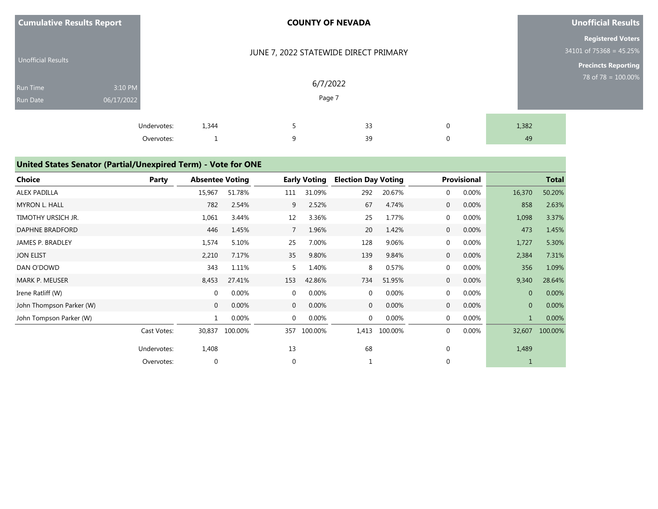| <b>Cumulative Results Report</b> |                       |                                    |                                       |   | <b>Unofficial Results</b>                             |                            |             |  |
|----------------------------------|-----------------------|------------------------------------|---------------------------------------|---|-------------------------------------------------------|----------------------------|-------------|--|
| <b>Unofficial Results</b>        |                       |                                    | JUNE 7, 2022 STATEWIDE DIRECT PRIMARY |   | <b>Registered Voters</b><br>$34101$ of 75368 = 45.25% |                            |             |  |
| Run Time<br>Run Date             | 3:10 PM<br>06/17/2022 |                                    |                                       |   | <b>Precincts Reporting</b><br>78 of 78 = $100.00\%$   |                            |             |  |
|                                  |                       | Undervotes:<br>1,344<br>Overvotes: |                                       | q | 33<br>39                                              | $\mathbf 0$<br>$\mathbf 0$ | 1,382<br>49 |  |

# **United States Senator (Partial/Unexpired Term) - Vote for ONE**

| <b>Choice</b>            | Party       | <b>Absentee Voting</b> |         |              | <b>Early Voting</b> | <b>Election Day Voting</b> |         | Provisional  |       |                | <b>Total</b> |
|--------------------------|-------------|------------------------|---------|--------------|---------------------|----------------------------|---------|--------------|-------|----------------|--------------|
| <b>ALEX PADILLA</b>      |             | 15,967                 | 51.78%  | 111          | 31.09%              | 292                        | 20.67%  | $\mathbf{0}$ | 0.00% | 16,370         | 50.20%       |
| <b>MYRON L. HALL</b>     |             | 782                    | 2.54%   | 9            | 2.52%               | 67                         | 4.74%   | $\mathbf 0$  | 0.00% | 858            | 2.63%        |
| TIMOTHY URSICH JR.       |             | 1,061                  | 3.44%   | 12           | 3.36%               | 25                         | 1.77%   | $\mathbf 0$  | 0.00% | 1,098          | 3.37%        |
| DAPHNE BRADFORD          |             | 446                    | 1.45%   | 7            | 1.96%               | 20                         | 1.42%   | $\mathbf 0$  | 0.00% | 473            | 1.45%        |
| JAMES P. BRADLEY         |             | 1,574                  | 5.10%   | 25           | 7.00%               | 128                        | 9.06%   | $\mathbf{0}$ | 0.00% | 1,727          | 5.30%        |
| <b>JON ELIST</b>         |             | 2,210                  | 7.17%   | 35           | 9.80%               | 139                        | 9.84%   | $\mathbf{0}$ | 0.00% | 2,384          | 7.31%        |
| DAN O'DOWD               |             | 343                    | 1.11%   | 5            | 1.40%               | 8                          | 0.57%   | $\mathbf{0}$ | 0.00% | 356            | 1.09%        |
| <b>MARK P. MEUSER</b>    |             | 8,453                  | 27.41%  | 153          | 42.86%              | 734                        | 51.95%  | $\mathbf 0$  | 0.00% | 9,340          | 28.64%       |
| Irene Ratliff (W)        |             | $\mathbf 0$            | 0.00%   | $\mathbf{0}$ | 0.00%               | 0                          | 0.00%   | $\mathbf{0}$ | 0.00% | $\mathbf{0}$   | 0.00%        |
| John Thompson Parker (W) |             | $\mathbf{0}$           | 0.00%   | $\mathbf{0}$ | 0.00%               | $\overline{0}$             | 0.00%   | $\mathbf 0$  | 0.00% | $\overline{0}$ | $0.00\%$     |
| John Tompson Parker (W)  |             |                        | 0.00%   | $\mathbf{0}$ | 0.00%               | $\mathbf{0}$               | 0.00%   | $\mathbf{0}$ | 0.00% | $\mathbf{1}$   | 0.00%        |
|                          | Cast Votes: | 30,837                 | 100.00% | 357          | 100.00%             | 1,413                      | 100.00% | $\mathbf 0$  | 0.00% | 32,607         | 100.00%      |
|                          | Undervotes: | 1,408                  |         | 13           |                     | 68                         |         | 0            |       | 1,489          |              |
|                          | Overvotes:  | 0                      |         | $\mathbf 0$  |                     |                            |         | $\mathbf{0}$ |       |                |              |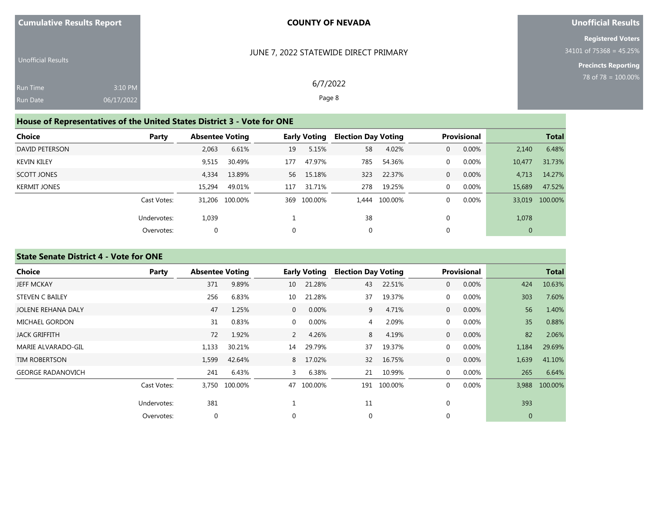| <b>Cumulative Results Report</b> |  |  |
|----------------------------------|--|--|
|                                  |  |  |

### **Unofficial Results**

**Registered Voters** 34101 of 75368 = 45.25%

> **Precincts Reporting** 78 of 78 = 100.00%

| <b>Unofficial Results</b> |            |
|---------------------------|------------|
| <b>Run Time</b>           | $3:10$ PM  |
| <b>Run Date</b>           | 06/17/2022 |

6/7/2022

JUNE 7, 2022 STATEWIDE DIRECT PRIMARY

Page 8

# **House of Representatives of the United States District 3 - Vote for ONE**

| Choice              | Party       | <b>Absentee Voting</b> |                |     | <b>Early Voting</b> | <b>Election Day Voting</b> |               |              | <b>Provisional</b> |                | <b>Total</b>   |
|---------------------|-------------|------------------------|----------------|-----|---------------------|----------------------------|---------------|--------------|--------------------|----------------|----------------|
| DAVID PETERSON      |             | 2,063                  | 6.61%          | 19  | 5.15%               | 58                         | 4.02%         | $\mathbf{0}$ | 0.00%              | 2,140          | 6.48%          |
| <b>KEVIN KILEY</b>  |             | 9,515                  | 30.49%         | 177 | 47.97%              | 785                        | 54.36%        | $\Omega$     | 0.00%              | 10,477         | 31.73%         |
| SCOTT JONES         |             | 4.334                  | 13.89%         | 56  | 15.18%              | 323                        | 22.37%        | $\Omega$     | 0.00%              | 4.713          | 14.27%         |
| <b>KERMIT JONES</b> |             | 15,294                 | 49.01%         | 117 | 31.71%              | 278                        | 19.25%        | $\Omega$     | $0.00\%$           | 15,689         | 47.52%         |
|                     | Cast Votes: |                        | 31.206 100.00% |     | 369 100.00%         |                            | 1,444 100.00% | $\Omega$     | 0.00%              |                | 33,019 100.00% |
|                     | Undervotes: | 1,039                  |                |     |                     | 38                         |               |              |                    | 1,078          |                |
|                     | Overvotes:  | 0                      |                | 0   |                     | 0                          |               |              |                    | $\overline{0}$ |                |

# **State Senate District 4 - Vote for ONE**

| Choice                    | Party       | <b>Absentee Voting</b> |         |                | <b>Early Voting</b> | <b>Election Day Voting</b> |         |                | Provisional |                | <b>Total</b> |
|---------------------------|-------------|------------------------|---------|----------------|---------------------|----------------------------|---------|----------------|-------------|----------------|--------------|
| <b>JEFF MCKAY</b>         |             | 371                    | 9.89%   | 10             | 21.28%              | 43                         | 22.51%  | $\mathbf{0}$   | 0.00%       | 424            | 10.63%       |
| <b>STEVEN C BAILEY</b>    |             | 256                    | 6.83%   | 10             | 21.28%              | 37                         | 19.37%  | $\mathbf{0}$   | 0.00%       | 303            | 7.60%        |
| <b>JOLENE REHANA DALY</b> |             | 47                     | 1.25%   | $\overline{0}$ | 0.00%               | 9                          | 4.71%   | $\mathbf 0$    | 0.00%       | 56             | 1.40%        |
| <b>MICHAEL GORDON</b>     |             | 31                     | 0.83%   | $\mathbf{0}$   | 0.00%               | 4                          | 2.09%   | $\mathbf{0}$   | $0.00\%$    | 35             | 0.88%        |
| <b>JACK GRIFFITH</b>      |             | 72                     | 1.92%   | 2              | 4.26%               | 8                          | 4.19%   | $\overline{0}$ | 0.00%       | 82             | 2.06%        |
| MARIE ALVARADO-GIL        |             | 1,133                  | 30.21%  | 14             | 29.79%              | 37                         | 19.37%  | $\mathbf{0}$   | 0.00%       | 1,184          | 29.69%       |
| <b>TIM ROBERTSON</b>      |             | 1,599                  | 42.64%  | 8              | 17.02%              | 32                         | 16.75%  | $\overline{0}$ | 0.00%       | 1,639          | 41.10%       |
| <b>GEORGE RADANOVICH</b>  |             | 241                    | 6.43%   | 3              | 6.38%               | 21                         | 10.99%  | $\mathbf{0}$   | 0.00%       | 265            | 6.64%        |
|                           | Cast Votes: | 3,750                  | 100.00% | 47             | 100.00%             | 191                        | 100.00% | $\mathbf 0$    | 0.00%       | 3,988          | 100.00%      |
|                           | Undervotes: | 381                    |         |                |                     | 11                         |         | $\mathbf{0}$   |             | 393            |              |
|                           | Overvotes:  | $\mathbf 0$            |         | $\mathbf 0$    |                     | $\mathbf{0}$               |         | $\mathbf{0}$   |             | $\overline{0}$ |              |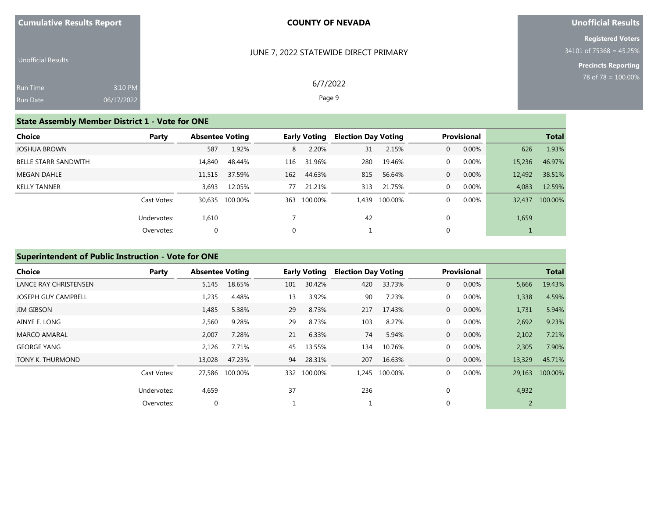| <b>Cumulative Results Report</b> |  |  |  |  |
|----------------------------------|--|--|--|--|
|----------------------------------|--|--|--|--|

#### JUNE 7, 2022 STATEWIDE DIRECT PRIMARY

6/7/2022 Page 9

## **Unofficial Results**

**Registered Voters** 34101 of 75368 = 45.25%

> **Precincts Reporting** 78 of 78 = 100.00%

| <b>Unofficial Results</b> |            |  |
|---------------------------|------------|--|
| <b>Run Time</b>           | $3:10$ PM  |  |
| <b>Run Date</b>           | 06/17/2022 |  |

# **State Assembly Member District 1 - Vote for ONE**

| Choice                      | Party       | <b>Absentee Voting</b> |                |     | <b>Early Voting</b> | <b>Election Day Voting</b> |               |              | <b>Provisional</b> |        | <b>Total</b> |
|-----------------------------|-------------|------------------------|----------------|-----|---------------------|----------------------------|---------------|--------------|--------------------|--------|--------------|
| <b>JOSHUA BROWN</b>         |             | 587                    | 1.92%          | 8   | 2.20%               | 31                         | 2.15%         | $\mathbf{0}$ | 0.00%              | 626    | 1.93%        |
| <b>BELLE STARR SANDWITH</b> |             | 14,840                 | 48.44%         | 116 | 31.96%              | 280                        | 19.46%        | 0            | 0.00%              | 15,236 | 46.97%       |
| <b>MEGAN DAHLE</b>          |             | 11,515                 | 37.59%         | 162 | 44.63%              | 815                        | 56.64%        | $\mathbf{0}$ | 0.00%              | 12,492 | 38.51%       |
| <b>KELLY TANNER</b>         |             | 3,693                  | 12.05%         | 77  | 21.21%              | 313                        | 21.75%        | $\Omega$     | $0.00\%$           | 4,083  | 12.59%       |
|                             | Cast Votes: |                        | 30,635 100.00% |     | 363 100.00%         |                            | 1,439 100.00% | 0            | 0.00%              | 32,437 | 100.00%      |
|                             | Undervotes: | 1,610                  |                |     |                     | 42                         |               | 0            |                    | 1,659  |              |
|                             | Overvotes:  | $\mathbf{0}$           |                |     |                     |                            |               | 0            |                    |        |              |

## **Superintendent of Public Instruction - Vote for ONE**

| Choice                     | Party       | <b>Absentee Voting</b> |                |     | Early Voting | <b>Election Day Voting</b> |         |                | <b>Provisional</b> |        | <b>Total</b> |
|----------------------------|-------------|------------------------|----------------|-----|--------------|----------------------------|---------|----------------|--------------------|--------|--------------|
| LANCE RAY CHRISTENSEN      |             | 5,145                  | 18.65%         | 101 | 30.42%       | 420                        | 33.73%  | $\Omega$       | 0.00%              | 5,666  | 19.43%       |
| <b>JOSEPH GUY CAMPBELL</b> |             | 1,235                  | 4.48%          | 13  | 3.92%        | 90                         | 7.23%   | 0              | 0.00%              | 1,338  | 4.59%        |
| <b>JIM GIBSON</b>          |             | 1,485                  | 5.38%          | 29  | 8.73%        | 217                        | 17.43%  | $\mathbf{0}$   | 0.00%              | 1,731  | 5.94%        |
| AINYE E. LONG              |             | 2,560                  | 9.28%          | 29  | 8.73%        | 103                        | 8.27%   | 0              | 0.00%              | 2,692  | 9.23%        |
| <b>MARCO AMARAL</b>        |             | 2,007                  | 7.28%          | 21  | 6.33%        | 74                         | 5.94%   | $\overline{0}$ | 0.00%              | 2,102  | 7.21%        |
| <b>GEORGE YANG</b>         |             | 2,126                  | 7.71%          | 45  | 13.55%       | 134                        | 10.76%  | 0              | 0.00%              | 2,305  | 7.90%        |
| TONY K. THURMOND           |             | 13,028                 | 47.23%         | 94  | 28.31%       | 207                        | 16.63%  | $\mathbf{0}$   | 0.00%              | 13,329 | 45.71%       |
|                            | Cast Votes: |                        | 27,586 100.00% |     | 332 100.00%  | 1.245                      | 100.00% | $\Omega$       | 0.00%              | 29,163 | 100.00%      |
|                            | Undervotes: | 4,659                  |                | 37  |              | 236                        |         | 0              |                    | 4,932  |              |
|                            | Overvotes:  | $\mathbf 0$            |                |     |              |                            |         |                |                    |        |              |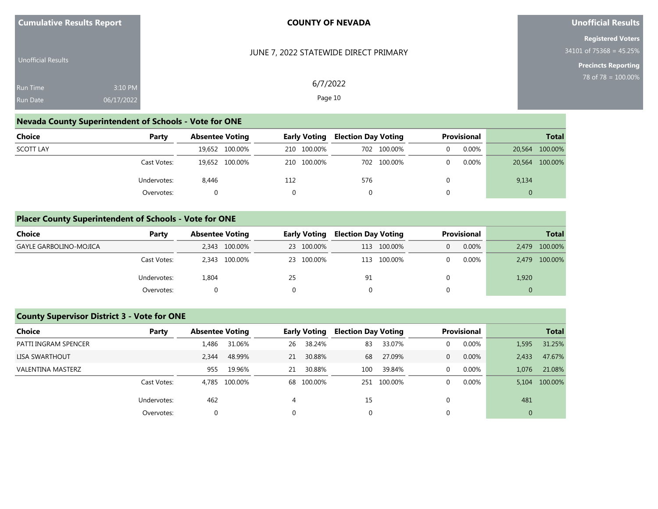| <b>Cumulative Results Report</b>   |                       | <b>COUNTY OF NEVADA</b>               | Unofficial Results                                                                  |
|------------------------------------|-----------------------|---------------------------------------|-------------------------------------------------------------------------------------|
| <b>Unofficial Results</b>          |                       | JUNE 7, 2022 STATEWIDE DIRECT PRIMARY | <b>Registered Voters</b><br>$34101$ of 75368 = 45.25%<br><b>Precincts Reporting</b> |
| <b>Run Time</b><br><b>Run Date</b> | 3:10 PM<br>06/17/2022 | 6/7/2022<br>Page 10                   | 78 of 78 = 100.00%                                                                  |

## **Nevada County Superintendent of Schools - Vote for ONE**

| <b>Choice</b>    | Party       | <b>Absentee Voting</b> | <b>Early Voting</b> | <b>Election Day Voting</b> | <b>Provisional</b> | <b>Total</b>   |
|------------------|-------------|------------------------|---------------------|----------------------------|--------------------|----------------|
| <b>SCOTT LAY</b> |             | 19,652 100.00%         | 210 100.00%         | 702 100.00%                | 0.00%              | 20,564 100.00% |
|                  | Cast Votes: | 19,652 100.00%         | 210 100.00%         | 702 100.00%                | 0.00%              | 20,564 100.00% |
|                  | Undervotes: | 8.446                  | 112                 | 576                        |                    | 9,134          |
|                  | Overvotes:  |                        |                     |                            |                    | $\Omega$       |

## **Placer County Superintendent of Schools - Vote for ONE**

| Choice                        | Party       | <b>Absentee Voting</b> | <b>Early Voting</b> | <b>Election Day Voting</b> | Provisional | <b>Total</b>   |
|-------------------------------|-------------|------------------------|---------------------|----------------------------|-------------|----------------|
| <b>GAYLE GARBOLINO-MOJICA</b> |             | 2,343 100.00%          | 23 100.00%          | 113 100.00%                | $0.00\%$    | 2,479 100.00%  |
|                               | Cast Votes: | 100.00%<br>2.343       | 23 100.00%          | 113 100.00%                | 0.00%       | 2,479 100.00%  |
|                               | Undervotes: | 1,804                  | 25                  | 91                         |             | 1,920          |
|                               | Overvotes:  |                        |                     |                            |             | $\overline{0}$ |

## **County Supervisor District 3 - Vote for ONE**

| Choice                   | Party       | <b>Absentee Voting</b> |               |    | Early Voting | <b>Election Day Voting</b> |         |                | <b>Provisional</b> |       | <b>Total</b>  |
|--------------------------|-------------|------------------------|---------------|----|--------------|----------------------------|---------|----------------|--------------------|-------|---------------|
| PATTI INGRAM SPENCER     |             | 1,486                  | 31.06%        | 26 | 38.24%       | 83                         | 33.07%  | $\Omega$       | $0.00\%$           | 1,595 | 31.25%        |
| LISA SWARTHOUT           |             | 2.344                  | 48.99%        | 21 | 30.88%       | 68                         | 27.09%  | $\overline{0}$ | $0.00\%$           | 2.433 | 47.67%        |
| <b>VALENTINA MASTERZ</b> |             | 955                    | 19.96%        | 21 | 30.88%       | 100                        | 39.84%  | $\Omega$       | $0.00\%$           | 1.076 | 21.08%        |
|                          | Cast Votes: |                        | 4.785 100.00% |    | 68 100.00%   | 251                        | 100.00% | $\Omega$       | 0.00%              |       | 5,104 100.00% |
|                          | Undervotes: | 462                    |               | 4  |              | 15                         |         | 0              |                    | 481   |               |
|                          | Overvotes:  | 0                      |               |    |              | 0                          |         | 0              |                    | 0     |               |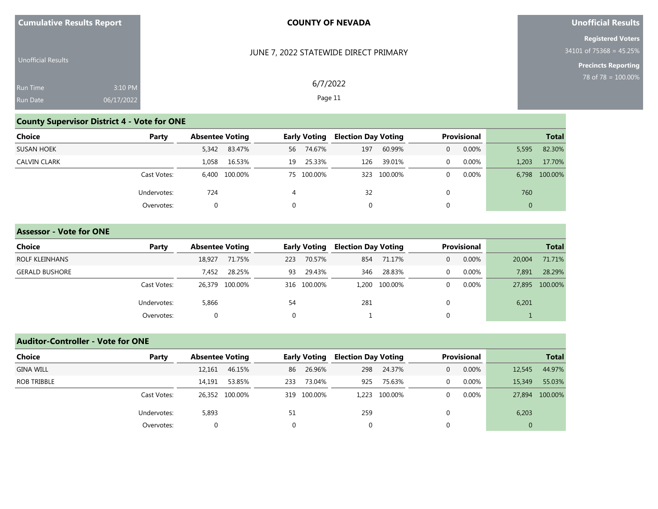| <b>Cumulative Results Report</b> |  |  |
|----------------------------------|--|--|
|----------------------------------|--|--|

# **Unofficial Results**

**Registered Voters** 34101 of 75368 = 45.25%

**Precincts Reporting**

| <b>Unofficial Results</b> |            | JUNE 7, 2022 STATEWIDE DIRECT PRIMARY |
|---------------------------|------------|---------------------------------------|
| <b>Run Time</b>           | 3:10 PM    | 6/7/2022                              |
| <b>Run Date</b>           | 06/17/2022 | Page 11                               |

# **County Supervisor District 4 - Vote for ONE**

| Choice              | Party       | <b>Absentee Voting</b> |        |          | <b>Early Voting</b> | <b>Election Day Voting</b> |             |              | Provisional |                | <b>Total</b>  |
|---------------------|-------------|------------------------|--------|----------|---------------------|----------------------------|-------------|--------------|-------------|----------------|---------------|
| <b>SUSAN HOEK</b>   |             | 5,342                  | 83.47% | 56       | 74.67%              | 197                        | 60.99%      | $\mathbf{0}$ | $0.00\%$    | 5,595          | 82.30%        |
| <b>CALVIN CLARK</b> |             | 1,058                  | 16.53% | 19       | 25.33%              | 126                        | 39.01%      | $\mathbf{0}$ | 0.00%       | 1.203          | 17.70%        |
|                     | Cast Votes: | 6,400 100.00%          |        |          | 75 100.00%          |                            | 323 100.00% | 0            | $0.00\%$    |                | 6,798 100.00% |
|                     | Undervotes: | 724                    |        | 4        |                     | 32                         |             | 0            |             | 760            |               |
|                     | Overvotes:  | $\Omega$               |        | $\Omega$ |                     | $\mathbf{0}$               |             | $\mathbf{0}$ |             | $\overline{0}$ |               |

#### **Assessor - Vote for ONE**

| Choice                | Party       | <b>Absentee Voting</b> |        |          | <b>Early Voting</b> | <b>Election Day Voting</b> |               |                | <b>Provisional</b> |        | <b>Total</b>   |
|-----------------------|-------------|------------------------|--------|----------|---------------------|----------------------------|---------------|----------------|--------------------|--------|----------------|
| ROLF KLEINHANS        |             | 18,927                 | 71.75% | 223      | 70.57%              | 854                        | 71.17%        | $\overline{0}$ | 0.00%              | 20,004 | 71.71%         |
| <b>GERALD BUSHORE</b> |             | 7,452                  | 28.25% | 93       | 29.43%              | 346                        | 28.83%        | $\Omega$       | $0.00\%$           | 7,891  | 28.29%         |
|                       | Cast Votes: | 26,379 100.00%         |        |          | 316 100.00%         |                            | 1,200 100.00% | 0              | $0.00\%$           |        | 27,895 100.00% |
|                       | Undervotes: | 5,866                  |        | 54       |                     | 281                        |               | $\Omega$       |                    | 6,201  |                |
|                       | Overvotes:  | $\Omega$               |        | $\Omega$ |                     |                            |               | $\Omega$       |                    |        |                |

## **Auditor-Controller - Vote for ONE**

| Choice           | Party       | <b>Absentee Voting</b> |                |     | <b>Early Voting</b> | <b>Election Day Voting</b> |               |                | <b>Provisional</b> |                | <b>Total</b> |
|------------------|-------------|------------------------|----------------|-----|---------------------|----------------------------|---------------|----------------|--------------------|----------------|--------------|
| <b>GINA WILL</b> |             | 12,161                 | 46.15%         | 86  | 26.96%              | 298                        | 24.37%        | $\overline{0}$ | 0.00%              | 12,545         | 44.97%       |
| ROB TRIBBLE      |             | 14.191                 | 53.85%         | 233 | 73.04%              | 925                        | 75.63%        | $\overline{0}$ | 0.00%              | 15,349         | 55.03%       |
|                  | Cast Votes: |                        | 26,352 100.00% |     | 319 100.00%         |                            | 1,223 100.00% |                | $0.00\%$           | 27,894         | 100.00%      |
|                  | Undervotes: | 5,893                  |                | 51  |                     | 259                        |               |                |                    | 6,203          |              |
|                  | Overvotes:  | $\Omega$               |                |     |                     | 0                          |               |                |                    | $\overline{0}$ |              |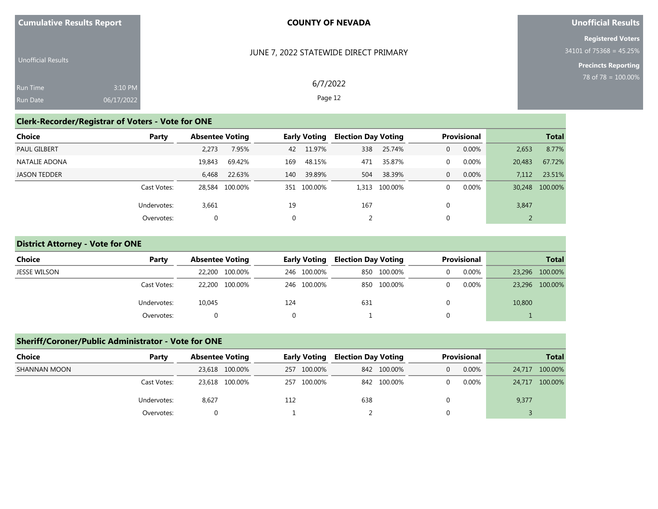|  |  |  |  | <b>Cumulative Results Report</b> |
|--|--|--|--|----------------------------------|
|--|--|--|--|----------------------------------|

## **Unofficial Results**

**Registered Voters** 34101 of 75368 = 45.25%

> **Precincts Reporting** 78 of 78 = 100.00%

| <b>Unofficial Results</b> |            |
|---------------------------|------------|
|                           |            |
| Run Time                  | $3:10$ PM  |
| <b>Run Date</b>           | 06/17/2022 |

# JUNE 7, 2022 STATEWIDE DIRECT PRIMARY

6/7/2022 Page 12

# **Clerk-Recorder/Registrar of Voters - Vote for ONE**

| Choice              | Party       | <b>Absentee Voting</b> |                |          | <b>Early Voting</b> |     | <b>Election Day Voting</b> |              | <b>Provisional</b> |        | <b>Total</b>   |  |
|---------------------|-------------|------------------------|----------------|----------|---------------------|-----|----------------------------|--------------|--------------------|--------|----------------|--|
| <b>PAUL GILBERT</b> |             | 2,273                  | 7.95%          | 42       | 11.97%              | 338 | 25.74%                     | $\mathbf{0}$ | 0.00%              | 2,653  | 8.77%          |  |
| NATALIE ADONA       |             | 19,843                 | 69.42%         | 169      | 48.15%              | 471 | 35.87%                     | 0            | 0.00%              | 20,483 | 67.72%         |  |
| <b>JASON TEDDER</b> |             | 6.468                  | 22.63%         | 140      | 39.89%              | 504 | 38.39%                     | $\Omega$     | 0.00%              | 7.112  | 23.51%         |  |
|                     | Cast Votes: |                        | 28.584 100.00% |          | 351 100.00%         |     | 1,313 100.00%              | $\mathbf{0}$ | 0.00%              |        | 30,248 100.00% |  |
|                     | Undervotes: | 3,661                  |                | 19       |                     | 167 |                            | $\Omega$     |                    | 3,847  |                |  |
|                     | Overvotes:  | 0                      |                | $\Omega$ |                     |     |                            | $\Omega$     |                    |        |                |  |

#### **District Attorney - Vote for ONE**

| Choice       | Party       | <b>Absentee Voting</b> | Early Voting | <b>Election Day Voting</b> | <b>Provisional</b> | <b>Total</b>   |
|--------------|-------------|------------------------|--------------|----------------------------|--------------------|----------------|
| JESSE WILSON |             | 22,200 100.00%         | 246 100.00%  | 850 100.00%                | 0.00%<br>0.        | 23,296 100.00% |
|              | Cast Votes: | 22.200 100.00%         | 246 100.00%  | 850 100.00%                | 0.00%<br>0         | 23,296 100.00% |
|              | Undervotes: | 10,045                 | 124          | 631                        |                    | 10,800         |
|              | Overvotes:  | $\Omega$               |              |                            | 0.                 |                |

## **Sheriff/Coroner/Public Administrator - Vote for ONE**

| <b>Choice</b><br>Party |             | <b>Absentee Voting</b> | <b>Early Voting</b> | <b>Election Day Voting</b> | <b>Provisional</b> | <b>Total</b>   |  |
|------------------------|-------------|------------------------|---------------------|----------------------------|--------------------|----------------|--|
| SHANNAN MOON           |             | 23,618 100.00%         | 257 100.00%         | 842 100.00%                | 0.00%              | 24,717 100.00% |  |
|                        | Cast Votes: | 23,618 100.00%         | 257 100.00%         | 842 100.00%                | 0.00%              | 24,717 100.00% |  |
|                        | Undervotes: | 8,627                  | 112                 | 638                        |                    | 9,377          |  |
|                        | Overvotes:  |                        |                     |                            |                    |                |  |